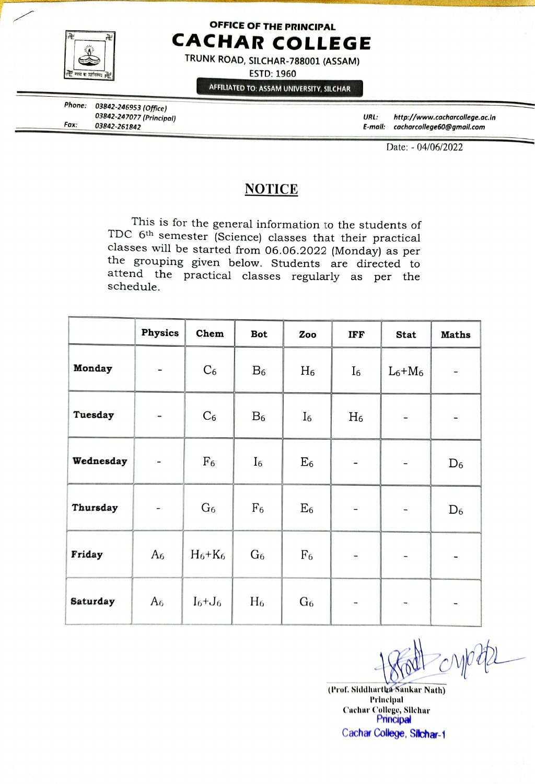

## OFFICE OF THE PRINCIPAL CACHAR COLLEGE

TRUNK ROAD, SILCHAR-788001 (ASSAM)

ESTD: 1960

AFFILIATED TO: ASSAM UNIVERSITY, SILCHAR

Phone: 03842-246953 (Office) 03842-247077 (Principal) 03842-261842

URL: http://www.cacharcollege.ac.in Fax: E-mall: cacharcollege 60@gmail.com

Date: - 04/06/2022

## **NOTICE**

This is for the general information to the students of TDC 6<sup>th</sup> semester (Science) classes that their practical classes will be started from 06.06.2022 (Monday) as per the grouping given below. Students are directed to attend the practical classes regularly as per the schedule.

|           | <b>Physics</b>           | Chem           | Bot            | Zoo            | IFF            | <b>Stat</b>                  | <b>Maths</b> |
|-----------|--------------------------|----------------|----------------|----------------|----------------|------------------------------|--------------|
| Monday    | $\qquad \qquad -$        | $C_6$          | $B_6$          | $H_6$          | ${\rm I}_6$    | $L_6+M_6$                    |              |
| Tuesday   | $\qquad \qquad -$        | $C_6$          | $B_6$          | ${\rm I}_6$    | $H_6$          |                              |              |
| Wednesday | $\overline{\phantom{a}}$ | F <sub>6</sub> | $I_6$          | $\mathrm{E}_6$ |                | $\qquad \qquad$              | $D_6$        |
| Thursday  | $\overline{\phantom{0}}$ | G <sub>6</sub> | F <sub>6</sub> | $\mathrm{E}_6$ |                | $\overline{\phantom{a}}$     | $D_6$        |
| Friday    | A6                       | $H_6+K_6$      | G <sub>6</sub> | F <sub>6</sub> | -              |                              |              |
| Saturday  | A6                       | $I_6+J_6$      | $H_6$          | G6             | $\blacksquare$ | $\qquad \qquad \blacksquare$ |              |

(Prof. Siddhartha Sankar Nath) Prinelpal Cachar College, Silchar Principal Cachar College, Silchar-1